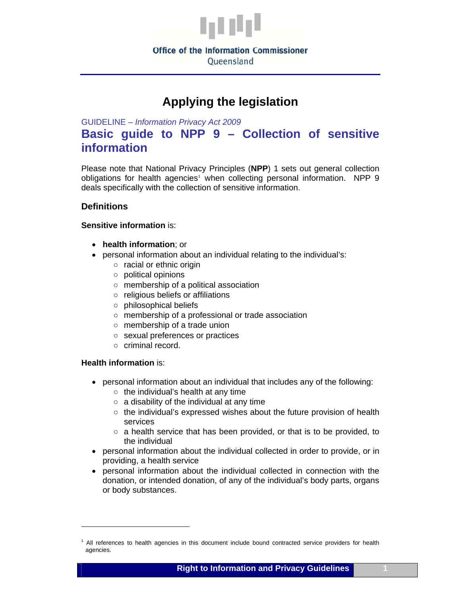

# **Applying the legislation**

GUIDELINE – *Information Privacy Act 2009* 

## **Basic guide to NPP 9 – Collection of sensitive information**

Please note that National Privacy Principles (**NPP**) 1 sets out general collection obligations for health agencies<sup>[1](#page-0-0)</sup> when collecting personal information. NPP 9 deals specifically with the collection of sensitive information.

### **Definitions**

#### **Sensitive information** is:

- **health information**; or
- personal information about an individual relating to the individual's:
	- racial or ethnic origin
	- political opinions
	- membership of a political association
	- religious beliefs or affiliations
	- philosophical beliefs
	- membership of a professional or trade association
	- membership of a trade union
	- sexual preferences or practices
	- criminal record.

#### **Health information** is:

- personal information about an individual that includes any of the following:
	- $\circ$  the individual's health at any time
	- a disability of the individual at any time
	- the individual's expressed wishes about the future provision of health services
	- a health service that has been provided, or that is to be provided, to the individual
- personal information about the individual collected in order to provide, or in providing, a health service
- personal information about the individual collected in connection with the donation, or intended donation, of any of the individual's body parts, organs or body substances.

<span id="page-0-0"></span><sup>&</sup>lt;sup>1</sup> All references to health agencies in this document include bound contracted service providers for health agencies.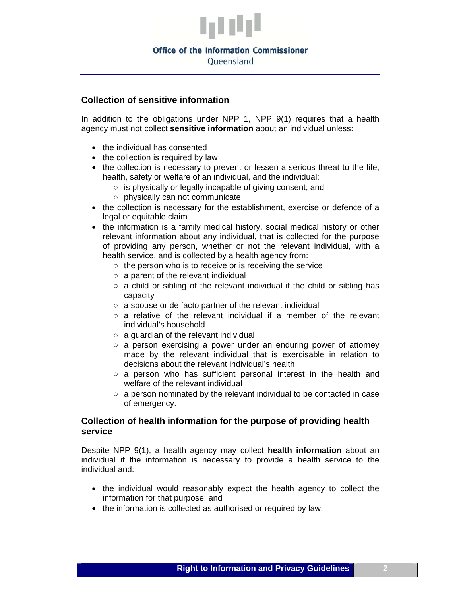

#### **Office of the Information Commissioner**

Queensland

#### **Collection of sensitive information**

In addition to the obligations under NPP 1, NPP 9(1) requires that a health agency must not collect **sensitive information** about an individual unless:

- the individual has consented
- the collection is required by law
- the collection is necessary to prevent or lessen a serious threat to the life, health, safety or welfare of an individual, and the individual:
	- is physically or legally incapable of giving consent; and
	- physically can not communicate
- the collection is necessary for the establishment, exercise or defence of a legal or equitable claim
- the information is a family medical history, social medical history or other relevant information about any individual, that is collected for the purpose of providing any person, whether or not the relevant individual, with a health service, and is collected by a health agency from:
	- the person who is to receive or is receiving the service
	- a parent of the relevant individual
	- $\circ$  a child or sibling of the relevant individual if the child or sibling has capacity
	- a spouse or de facto partner of the relevant individual
	- a relative of the relevant individual if a member of the relevant individual's household
	- $\circ$  a guardian of the relevant individual
	- a person exercising a power under an enduring power of attorney made by the relevant individual that is exercisable in relation to decisions about the relevant individual's health
	- $\circ$  a person who has sufficient personal interest in the health and welfare of the relevant individual
	- a person nominated by the relevant individual to be contacted in case of emergency.

#### **Collection of health information for the purpose of providing health service**

Despite NPP 9(1), a health agency may collect **health information** about an individual if the information is necessary to provide a health service to the individual and:

- the individual would reasonably expect the health agency to collect the information for that purpose; and
- the information is collected as authorised or required by law.